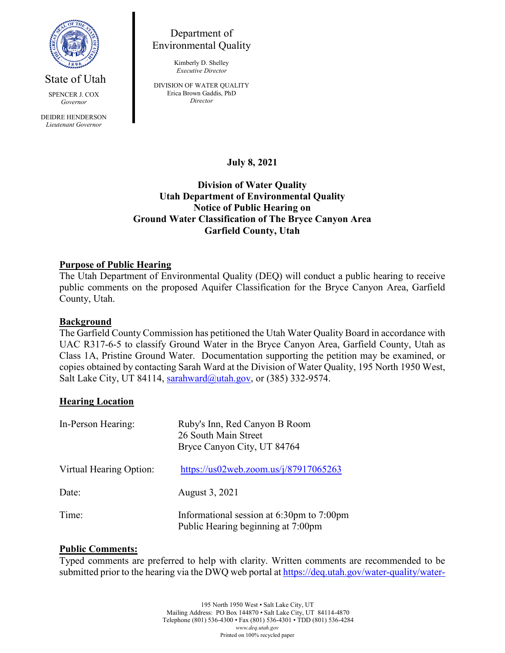

State of Utah

SPENCER J. COX *Governor* DEIDRE HENDERSON *Lieutenant Governor*

Department of Environmental Quality

> Kimberly D. Shelley *Executive Director*

DIVISION OF WATER QUALITY Erica Brown Gaddis, PhD *Director*

**July 8, 2021**

# **Division of Water Quality Utah Department of Environmental Quality Notice of Public Hearing on Ground Water Classification of The Bryce Canyon Area Garfield County, Utah**

## **Purpose of Public Hearing**

The Utah Department of Environmental Quality (DEQ) will conduct a public hearing to receive public comments on the proposed Aquifer Classification for the Bryce Canyon Area, Garfield County, Utah.

### **Background**

The Garfield County Commission has petitioned the Utah Water Quality Board in accordance with UAC R317-6-5 to classify Ground Water in the Bryce Canyon Area, Garfield County, Utah as Class 1A, Pristine Ground Water. Documentation supporting the petition may be examined, or copies obtained by contacting Sarah Ward at the Division of Water Quality, 195 North 1950 West, Salt Lake City, UT 84114, [sarahward@utah.gov,](mailto:sarahward@utah.gov) or (385) 332-9574.

#### **Hearing Location**

| In-Person Hearing:      | Ruby's Inn, Red Canyon B Room<br>26 South Main Street<br>Bryce Canyon City, UT 84764 |
|-------------------------|--------------------------------------------------------------------------------------|
| Virtual Hearing Option: | https://us02web.zoom.us/ $i/87917065263$                                             |
| Date:                   | August 3, 2021                                                                       |
| Time:                   | Informational session at 6:30pm to 7:00pm<br>Public Hearing beginning at 7:00pm      |

#### **Public Comments:**

Typed comments are preferred to help with clarity. Written comments are recommended to be submitted prior to the hearing via the DWQ web portal a[t https://deq.utah.gov/water-quality/water-](https://deq.utah.gov/water-quality/water-quality-electronic-submissions)